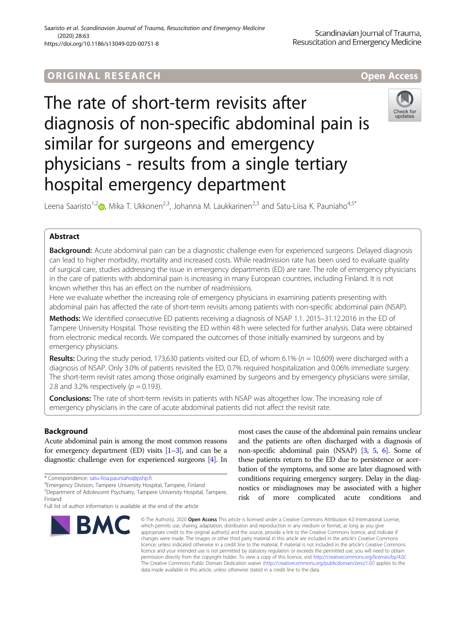## ORIGINA L R E S EA RCH Open Access



# The rate of short-term revisits after diagnosis of non-specific abdominal pain is similar for surgeons and emergency physicians - results from a single tertiary hospital emergency department



Leena Saaristo<sup>1,[2](http://orcid.org/0000-0001-5681-7720)</sup> , Mika T. Ukkonen<sup>2,3</sup>, Johanna M. Laukkarinen<sup>2,3</sup> and Satu-Liisa K. Pauniaho<sup>4,5\*</sup>

## Abstract

Background: Acute abdominal pain can be a diagnostic challenge even for experienced surgeons. Delayed diagnosis can lead to higher morbidity, mortality and increased costs. While readmission rate has been used to evaluate quality of surgical care, studies addressing the issue in emergency departments (ED) are rare. The role of emergency physicians in the care of patients with abdominal pain is increasing in many European countries, including Finland. It is not known whether this has an effect on the number of readmissions.

Here we evaluate whether the increasing role of emergency physicians in examining patients presenting with abdominal pain has affected the rate of short-term revisits among patients with non-specific abdominal pain (NSAP).

Methods: We identified consecutive ED patients receiving a diagnosis of NSAP 1.1. 2015–31.12.2016 in the ED of Tampere University Hospital. Those revisiting the ED within 48 h were selected for further analysis. Data were obtained from electronic medical records. We compared the outcomes of those initially examined by surgeons and by emergency physicians.

Results: During the study period, 173,630 patients visited our ED, of whom 6.1% ( $n = 10,609$ ) were discharged with a diagnosis of NSAP. Only 3.0% of patients revisited the ED, 0.7% required hospitalization and 0.06% immediate surgery. The short-term revisit rates among those originally examined by surgeons and by emergency physicians were similar, 2.8 and 3.2% respectively ( $p = 0.193$ ).

Conclusions: The rate of short-term revisits in patients with NSAP was altogether low. The increasing role of emergency physicians in the care of acute abdominal patients did not affect the revisit rate.

## Background

Acute abdominal pain is among the most common reasons for emergency department (ED) visits  $[1-3]$  $[1-3]$  $[1-3]$  $[1-3]$ , and can be a diagnostic challenge even for experienced surgeons [[4](#page-5-0)]. In

Full list of author information is available at the end of the article



most cases the cause of the abdominal pain remains unclear and the patients are often discharged with a diagnosis of non-specific abdominal pain (NSAP) [[3](#page-5-0), [5](#page-5-0), [6](#page-5-0)]. Some of these patients return to the ED due to persistence or acerbation of the symptoms, and some are later diagnosed with conditions requiring emergency surgery. Delay in the diagnostics or misdiagnoses may be associated with a higher risk of more complicated acute conditions and

© The Author(s), 2020 **Open Access** This article is licensed under a Creative Commons Attribution 4.0 International License, which permits use, sharing, adaptation, distribution and reproduction in any medium or format, as long as you give appropriate credit to the original author(s) and the source, provide a link to the Creative Commons licence, and indicate if changes were made. The images or other third party material in this article are included in the article's Creative Commons licence, unless indicated otherwise in a credit line to the material. If material is not included in the article's Creative Commons licence and your intended use is not permitted by statutory regulation or exceeds the permitted use, you will need to obtain permission directly from the copyright holder. To view a copy of this licence, visit [http://creativecommons.org/licenses/by/4.0/.](http://creativecommons.org/licenses/by/4.0/) The Creative Commons Public Domain Dedication waiver [\(http://creativecommons.org/publicdomain/zero/1.0/](http://creativecommons.org/publicdomain/zero/1.0/)) applies to the data made available in this article, unless otherwise stated in a credit line to the data.

<sup>\*</sup> Correspondence: [satu-liisa.pauniaho@pshp.fi](mailto:satu-liisa.pauniaho@pshp.fi) <sup>4</sup>

Emergency Division, Tampere University Hospital, Tampere, Finland

<sup>5</sup> Department of Adolescent Psychiatry, Tampere University Hospital, Tampere, Finland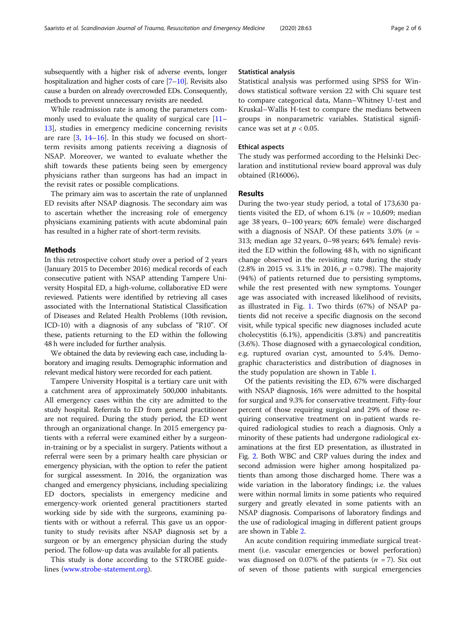subsequently with a higher risk of adverse events, longer hospitalization and higher costs of care [[7](#page-5-0)–[10](#page-5-0)]. Revisits also cause a burden on already overcrowded EDs. Consequently, methods to prevent unnecessary revisits are needed.

While readmission rate is among the parameters commonly used to evaluate the quality of surgical care [[11](#page-5-0)– [13\]](#page-5-0), studies in emergency medicine concerning revisits are rare  $[3, 14-16]$  $[3, 14-16]$  $[3, 14-16]$  $[3, 14-16]$  $[3, 14-16]$  $[3, 14-16]$  $[3, 14-16]$ . In this study we focused on shortterm revisits among patients receiving a diagnosis of NSAP. Moreover, we wanted to evaluate whether the shift towards these patients being seen by emergency physicians rather than surgeons has had an impact in the revisit rates or possible complications.

The primary aim was to ascertain the rate of unplanned ED revisits after NSAP diagnosis. The secondary aim was to ascertain whether the increasing role of emergency physicians examining patients with acute abdominal pain has resulted in a higher rate of short-term revisits.

#### Methods

In this retrospective cohort study over a period of 2 years (January 2015 to December 2016) medical records of each consecutive patient with NSAP attending Tampere University Hospital ED, a high-volume, collaborative ED were reviewed. Patients were identified by retrieving all cases associated with the International Statistical Classification of Diseases and Related Health Problems (10th revision, ICD-10) with a diagnosis of any subclass of "R10". Of these, patients returning to the ED within the following 48 h were included for further analysis.

We obtained the data by reviewing each case, including laboratory and imaging results. Demographic information and relevant medical history were recorded for each patient.

Tampere University Hospital is a tertiary care unit with a catchment area of approximately 500,000 inhabitants. All emergency cases within the city are admitted to the study hospital. Referrals to ED from general practitioner are not required. During the study period, the ED went through an organizational change. In 2015 emergency patients with a referral were examined either by a surgeonin-training or by a specialist in surgery. Patients without a referral were seen by a primary health care physician or emergency physician, with the option to refer the patient for surgical assessment. In 2016, the organization was changed and emergency physicians, including specializing ED doctors, specialists in emergency medicine and emergency-work oriented general practitioners started working side by side with the surgeons, examining patients with or without a referral. This gave us an opportunity to study revisits after NSAP diagnosis set by a surgeon or by an emergency physician during the study period. The follow-up data was available for all patients.

This study is done according to the STROBE guidelines ([www.strobe-statement.org\)](http://www.strobe-statement.org).

#### Statistical analysis

Statistical analysis was performed using SPSS for Windows statistical software version 22 with Chi square test to compare categorical data, Mann–Whitney U-test and Kruskal–Wallis H-test to compare the medians between groups in nonparametric variables. Statistical significance was set at  $p < 0.05$ .

#### Ethical aspects

The study was performed according to the Helsinki Declaration and institutional review board approval was duly obtained (R16006).

#### Results

During the two-year study period, a total of 173,630 patients visited the ED, of whom  $6.1\%$  ( $n = 10,609$ ; median age 38 years, 0–100 years; 60% female) were discharged with a diagnosis of NSAP. Of these patients 3.0% ( $n =$ 313; median age 32 years, 0–98 years; 64% female) revisited the ED within the following 48 h, with no significant change observed in the revisiting rate during the study  $(2.8\% \text{ in } 2015 \text{ vs. } 3.1\% \text{ in } 2016, p = 0.798)$ . The majority (94%) of patients returned due to persisting symptoms, while the rest presented with new symptoms. Younger age was associated with increased likelihood of revisits, as illustrated in Fig. [1.](#page-2-0) Two thirds (67%) of NSAP patients did not receive a specific diagnosis on the second visit, while typical specific new diagnoses included acute cholecystitis (6.1%), appendicitis (3.8%) and pancreatitis (3.6%). Those diagnosed with a gynaecological condition, e.g. ruptured ovarian cyst, amounted to 5.4%. Demographic characteristics and distribution of diagnoses in the study population are shown in Table [1.](#page-3-0)

Of the patients revisiting the ED, 67% were discharged with NSAP diagnosis, 16% were admitted to the hospital for surgical and 9.3% for conservative treatment. Fifty-four percent of those requiring surgical and 29% of those requiring conservative treatment on in-patient wards required radiological studies to reach a diagnosis. Only a minority of these patients had undergone radiological examinations at the first ED presentation, as illustrated in Fig. [2.](#page-4-0) Both WBC and CRP values during the index and second admission were higher among hospitalized patients than among those discharged home. There was a wide variation in the laboratory findings; i.e. the values were within normal limits in some patients who required surgery and greatly elevated in some patients with an NSAP diagnosis. Comparisons of laboratory findings and the use of radiological imaging in different patient groups are shown in Table [2.](#page-4-0)

An acute condition requiring immediate surgical treatment (i.e. vascular emergencies or bowel perforation) was diagnosed on 0.07% of the patients ( $n = 7$ ). Six out of seven of those patients with surgical emergencies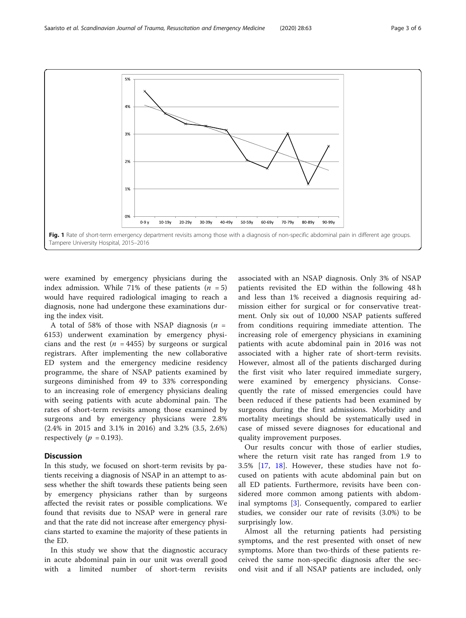<span id="page-2-0"></span>

were examined by emergency physicians during the index admission. While 71% of these patients  $(n = 5)$ would have required radiological imaging to reach a diagnosis, none had undergone these examinations during the index visit.

A total of 58% of those with NSAP diagnosis  $(n =$ 6153) underwent examination by emergency physicians and the rest ( $n = 4455$ ) by surgeons or surgical registrars. After implementing the new collaborative ED system and the emergency medicine residency programme, the share of NSAP patients examined by surgeons diminished from 49 to 33% corresponding to an increasing role of emergency physicians dealing with seeing patients with acute abdominal pain. The rates of short-term revisits among those examined by surgeons and by emergency physicians were 2.8% (2.4% in 2015 and 3.1% in 2016) and 3.2% (3.5, 2.6%) respectively ( $p = 0.193$ ).

#### **Discussion**

In this study, we focused on short-term revisits by patients receiving a diagnosis of NSAP in an attempt to assess whether the shift towards these patients being seen by emergency physicians rather than by surgeons affected the revisit rates or possible complications. We found that revisits due to NSAP were in general rare and that the rate did not increase after emergency physicians started to examine the majority of these patients in the ED.

In this study we show that the diagnostic accuracy in acute abdominal pain in our unit was overall good with a limited number of short-term revisits associated with an NSAP diagnosis. Only 3% of NSAP patients revisited the ED within the following 48 h and less than 1% received a diagnosis requiring admission either for surgical or for conservative treatment. Only six out of 10,000 NSAP patients suffered from conditions requiring immediate attention. The increasing role of emergency physicians in examining patients with acute abdominal pain in 2016 was not associated with a higher rate of short-term revisits. However, almost all of the patients discharged during the first visit who later required immediate surgery, were examined by emergency physicians. Consequently the rate of missed emergencies could have been reduced if these patients had been examined by surgeons during the first admissions. Morbidity and mortality meetings should be systematically used in case of missed severe diagnoses for educational and quality improvement purposes.

Our results concur with those of earlier studies, where the return visit rate has ranged from 1.9 to 3.5% [\[17](#page-5-0), [18\]](#page-5-0). However, these studies have not focused on patients with acute abdominal pain but on all ED patients. Furthermore, revisits have been considered more common among patients with abdominal symptoms [[3\]](#page-5-0). Consequently, compared to earlier studies, we consider our rate of revisits (3.0%) to be surprisingly low.

Almost all the returning patients had persisting symptoms, and the rest presented with onset of new symptoms. More than two-thirds of these patients received the same non-specific diagnosis after the second visit and if all NSAP patients are included, only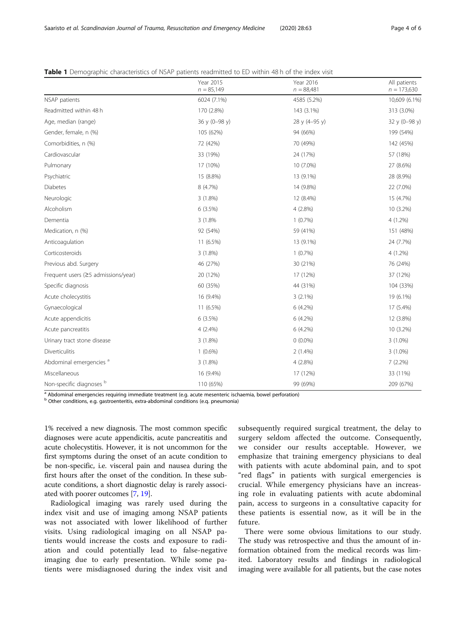|                                     | Year 2015<br>$n = 85,149$ | Year 2016<br>$n = 88,481$ | All patients<br>$n = 173,630$ |
|-------------------------------------|---------------------------|---------------------------|-------------------------------|
| NSAP patients                       | 6024 (7.1%)               | 4585 (5.2%)               | 10,609 (6.1%)                 |
| Readmitted within 48 h              | 170 (2.8%)                | 143 (3.1%)                | 313 (3.0%)                    |
| Age, median (range)                 | 36 y (0-98 y)             | 28 y (4-95 y)             | 32 y (0-98 y)                 |
| Gender, female, n (%)               | 105 (62%)                 | 94 (66%)                  | 199 (54%)                     |
| Comorbidities, n (%)                | 72 (42%)                  | 70 (49%)                  | 142 (45%)                     |
| Cardiovascular                      | 33 (19%)                  | 24 (17%)                  | 57 (18%)                      |
| Pulmonary                           | 17 (10%)                  | 10 (7.0%)                 | 27 (8.6%)                     |
| Psychiatric                         | 15 (8.8%)                 | 13 (9.1%)                 | 28 (8.9%)                     |
| Diabetes                            | 8 (4.7%)                  | 14 (9.8%)                 | 22 (7.0%)                     |
| Neurologic                          | $3(1.8\%)$                | 12 (8.4%)                 | 15 (4.7%)                     |
| Alcoholism                          | 6(3.5%)                   | $4(2.8\%)$                | 10 (3.2%)                     |
| Dementia                            | 3 (1.8%)                  | $1(0.7\%)$                | 4 (1.2%)                      |
| Medication, n (%)                   | 92 (54%)                  | 59 (41%)                  | 151 (48%)                     |
| Anticoagulation                     | 11 (6.5%)                 | 13 (9.1%)                 | 24 (7.7%)                     |
| Corticosteroids                     | $3(1.8\%)$                | $1(0.7\%)$                | 4 (1.2%)                      |
| Previous abd. Surgery               | 46 (27%)                  | 30 (21%)                  | 76 (24%)                      |
| Frequent users (≥5 admissions/year) | 20 (12%)                  | 17 (12%)                  | 37 (12%)                      |
| Specific diagnosis                  | 60 (35%)                  | 44 (31%)                  | 104 (33%)                     |
| Acute cholecystitis                 | 16 (9.4%)                 | $3(2.1\%)$                | 19 (6.1%)                     |
| Gynaecological                      | 11 (6.5%)                 | $6(4.2\%)$                | 17 (5.4%)                     |
| Acute appendicitis                  | 6(3.5%)                   | $6(4.2\%)$                | 12 (3.8%)                     |
| Acute pancreatitis                  | $4(2.4\%)$                | $6(4.2\%)$                | 10 (3.2%)                     |
| Urinary tract stone disease         | $3(1.8\%)$                | $0(0.0\%)$                | $3(1.0\%)$                    |
| Diverticulitis                      | $1(0.6\%)$                | $2(1.4\%)$                | $3(1.0\%)$                    |
| Abdominal emergencies <sup>a</sup>  | $3(1.8\%)$                | $4(2.8\%)$                | $7(2.2\%)$                    |
| Miscellaneous                       | 16 (9.4%)                 | 17 (12%)                  | 33 (11%)                      |
| Non-specific diagnoses b            | 110 (65%)                 | 99 (69%)                  | 209 (67%)                     |

<span id="page-3-0"></span>Table 1 Demographic characteristics of NSAP patients readmitted to ED within 48 h of the index visit

<sup>a</sup> Abdominal emergencies requiring immediate treatment (e.g. acute mesenteric ischaemia, bowel perforation)

<sup>b</sup> Other conditions, e.g. gastroenteritis, extra-abdominal conditions (e.q. pneumonia)

1% received a new diagnosis. The most common specific diagnoses were acute appendicitis, acute pancreatitis and acute cholecystitis. However, it is not uncommon for the first symptoms during the onset of an acute condition to be non-specific, i.e. visceral pain and nausea during the first hours after the onset of the condition. In these subacute conditions, a short diagnostic delay is rarely associated with poorer outcomes [\[7,](#page-5-0) [19](#page-5-0)].

Radiological imaging was rarely used during the index visit and use of imaging among NSAP patients was not associated with lower likelihood of further visits. Using radiological imaging on all NSAP patients would increase the costs and exposure to radiation and could potentially lead to false-negative imaging due to early presentation. While some patients were misdiagnosed during the index visit and

subsequently required surgical treatment, the delay to surgery seldom affected the outcome. Consequently, we consider our results acceptable. However, we emphasize that training emergency physicians to deal with patients with acute abdominal pain, and to spot "red flags" in patients with surgical emergencies is crucial. While emergency physicians have an increasing role in evaluating patients with acute abdominal pain, access to surgeons in a consultative capacity for these patients is essential now, as it will be in the future.

There were some obvious limitations to our study. The study was retrospective and thus the amount of information obtained from the medical records was limited. Laboratory results and findings in radiological imaging were available for all patients, but the case notes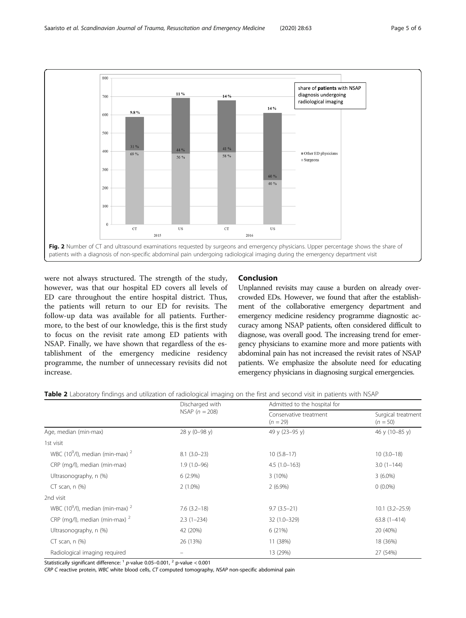<span id="page-4-0"></span>

were not always structured. The strength of the study, however, was that our hospital ED covers all levels of ED care throughout the entire hospital district. Thus, the patients will return to our ED for revisits. The follow-up data was available for all patients. Furthermore, to the best of our knowledge, this is the first study to focus on the revisit rate among ED patients with NSAP. Finally, we have shown that regardless of the establishment of the emergency medicine residency programme, the number of unnecessary revisits did not increase.

### Conclusion

Unplanned revisits may cause a burden on already overcrowded EDs. However, we found that after the establishment of the collaborative emergency department and emergency medicine residency programme diagnostic accuracy among NSAP patients, often considered difficult to diagnose, was overall good. The increasing trend for emergency physicians to examine more and more patients with abdominal pain has not increased the revisit rates of NSAP patients. We emphasize the absolute need for educating emergency physicians in diagnosing surgical emergencies.

|  |  | Table 2 Laboratory findings and utilization of radiological imaging on the first and second visit in patients with NSAP |
|--|--|-------------------------------------------------------------------------------------------------------------------------|
|  |  |                                                                                                                         |

|                                                 | Discharged with<br>NSAP $(n = 208)$ | Admitted to the hospital for         |                                  |  |
|-------------------------------------------------|-------------------------------------|--------------------------------------|----------------------------------|--|
|                                                 |                                     | Conservative treatment<br>$(n = 29)$ | Surgical treatment<br>$(n = 50)$ |  |
| Age, median (min-max)                           | 28 y (0-98 y)                       | 49 y (23-95 y)                       | 46 y (10-85 y)                   |  |
| 1st visit                                       |                                     |                                      |                                  |  |
| WBC (10 $^9$ /l), median (min-max) <sup>2</sup> | $8.1(3.0-23)$                       | $10(5.8-17)$                         | $10(3.0-18)$                     |  |
| CRP (mg/l), median (min-max)                    | $1.9(1.0-96)$                       | $4.5(1.0-163)$                       | $3.0(1-144)$                     |  |
| Ultrasonography, n (%)                          | $6(2.9\%)$                          | 3(10%)                               | $3(6.0\%)$                       |  |
| $CT$ scan, n $(\%)$                             | $2(1.0\%)$                          | $2(6.9\%)$                           | $0(0.0\%)$                       |  |
| 2nd visit                                       |                                     |                                      |                                  |  |
| WBC (10 $^9$ /l), median (min-max) $^2$         | $7.6(3.2-18)$                       | $9.7(3.5-21)$                        | $10.1(3.2 - 25.9)$               |  |
| CRP (mg/l), median (min-max) $^2$               | $2.3(1-234)$                        | 32 (1.0-329)                         | $63.8(1 - 414)$                  |  |
| Ultrasonography, n (%)                          | 42 (20%)                            | 6(21%)                               | 20 (40%)                         |  |
| $CT$ scan, n $(\%)$                             | 26 (13%)                            | 11 (38%)                             | 18 (36%)                         |  |
| Radiological imaging required                   |                                     | 13 (29%)                             | 27 (54%)                         |  |

Statistically significant difference:  $1$  p-value 0.05–0.001,  $2$  p-value < 0.001

CRP C reactive protein, WBC white blood cells, CT computed tomography, NSAP non-specific abdominal pain